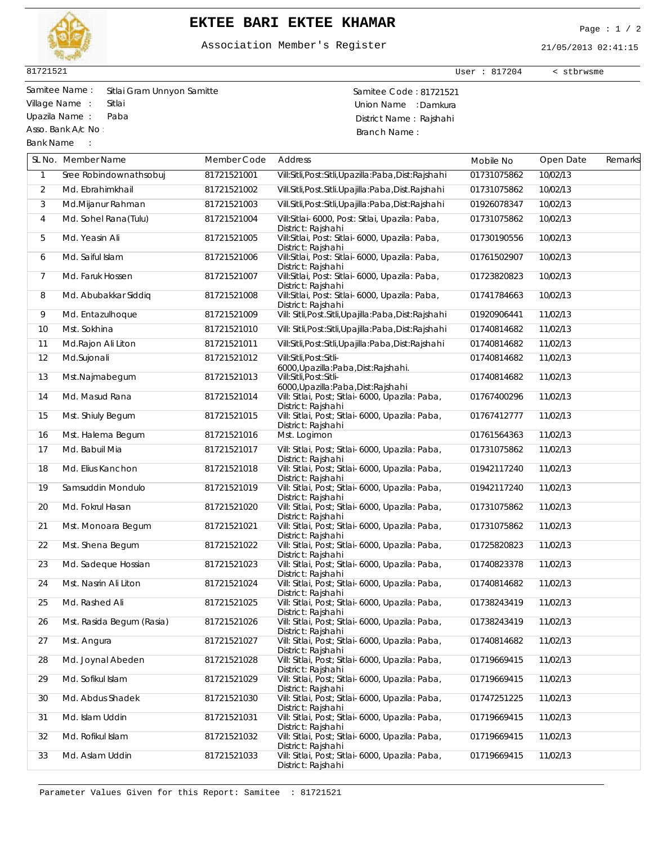

## **EKTEE BARI EKTEE KHAMAR** Page : 1 / 2

## Association Member's Register

21/05/2013 02:41:15

User : 817204 < stbrwsme

81721521

Asso. Bank A/c No :

Bank Name :

Samitee Name : Samitee Code : 81721521 Sitlai Gram Unnyon Samitte Village Name : Sitlai Sitlai et al. et al. et al. et al. et al. et al. et al. et al. et al. et al. et al. et a Upazila Name : Paba District Name : Rajshahi Branch Name :

|                | SL No. Member Name        | Member Code | Address                                                               | Mobile No   | Open Date | Remarks |
|----------------|---------------------------|-------------|-----------------------------------------------------------------------|-------------|-----------|---------|
| $\mathbf{1}$   | Sree Robindownathsobuj    | 81721521001 | Vill:Sitli, Post:Sitli, Upazilla: Paba, Dist: Rajshahi                | 01731075862 | 10/02/13  |         |
| $\overline{2}$ | Md. Ebrahimkhail          | 81721521002 | Vill.Sitli, Post.Sitli.Upajilla:Paba, Dist.Rajshahi                   | 01731075862 | 10/02/13  |         |
| 3              | Md.Mijanur Rahman         | 81721521003 | Vill.Sitli, Post:Sitli, Upajilla: Paba, Dist: Rajshahi                | 01926078347 | 10/02/13  |         |
| 4              | Md. Sohel Rana(Tulu)      | 81721521004 | Vill:Sitlai-6000, Post: Sitlai, Upazila: Paba,<br>District: Rajshahi  | 01731075862 | 10/02/13  |         |
| 5              | Md. Yeasin Ali            | 81721521005 | Vill:Sitlai, Post: Sitlai-6000, Upazila: Paba,<br>District: Rajshahi  | 01730190556 | 10/02/13  |         |
| 6              | Md. Saiful Islam          | 81721521006 | Vill:Sitlai, Post: Sitlai-6000, Upazila: Paba,<br>District: Rajshahi  | 01761502907 | 10/02/13  |         |
| 7              | Md. Faruk Hossen          | 81721521007 | Vill:Sitlai, Post: Sitlai-6000, Upazila: Paba,<br>District: Rajshahi  | 01723820823 | 10/02/13  |         |
| 8              | Md. Abubakkar Siddiq      | 81721521008 | Vill:Sitlai, Post: Sitlai-6000, Upazila: Paba,<br>District: Rajshahi  | 01741784663 | 10/02/13  |         |
| 9              | Md. Entazulhoque          | 81721521009 | Vill: Sitli, Post. Sitli, Upajilla: Paba, Dist: Rajshahi              | 01920906441 | 11/02/13  |         |
| 10             | Mst. Sokhina              | 81721521010 | Vill: Sitli, Post: Sitli, Upajilla: Paba, Dist: Rajshahi              | 01740814682 | 11/02/13  |         |
| 11             | Md.Rajon Ali Liton        | 81721521011 | Vill:Sitli, Post:Sitli, Upajilla: Paba, Dist: Rajshahi                | 01740814682 | 11/02/13  |         |
| 12             | Md.Sujonali               | 81721521012 | Vill:Sitli, Post:Sitli-<br>6000, Upazilla: Paba, Dist: Rajshahi.      | 01740814682 | 11/02/13  |         |
| 13             | Mst.Najmabegum            | 81721521013 | Vill:Sitli, Post:Sitli-<br>6000, Upazilla: Paba, Dist: Rajshahi       | 01740814682 | 11/02/13  |         |
| 14             | Md. Masud Rana            | 81721521014 | Vill: Sitlai, Post; Sitlai-6000, Upazila: Paba,<br>District: Rajshahi | 01767400296 | 11/02/13  |         |
| 15             | Mst. Shiuly Begum         | 81721521015 | Vill: Sitlai, Post; Sitlai-6000, Upazila: Paba,<br>District: Rajshahi | 01767412777 | 11/02/13  |         |
| 16             | Mst. Halema Begum         | 81721521016 | Mst. Logimon                                                          | 01761564363 | 11/02/13  |         |
| 17             | Md. Babuil Mia            | 81721521017 | Vill: Sitlai, Post; Sitlai-6000, Upazila: Paba,<br>District: Rajshahi | 01731075862 | 11/02/13  |         |
| 18             | Md. Elius Kanchon         | 81721521018 | Vill: Sitlai, Post; Sitlai-6000, Upazila: Paba,<br>District: Rajshahi | 01942117240 | 11/02/13  |         |
| 19             | Samsuddin Mondulo         | 81721521019 | Vill: Sitlai, Post; Sitlai-6000, Upazila: Paba,<br>District: Rajshahi | 01942117240 | 11/02/13  |         |
| 20             | Md. Fokrul Hasan          | 81721521020 | Vill: Sitlai, Post; Sitlai-6000, Upazila: Paba,<br>District: Rajshahi | 01731075862 | 11/02/13  |         |
| 21             | Mst. Monoara Begum        | 81721521021 | Vill: Sitlai, Post; Sitlai-6000, Upazila: Paba,<br>District: Rajshahi | 01731075862 | 11/02/13  |         |
| 22             | Mst. Shena Begum          | 81721521022 | Vill: Sitlai, Post; Sitlai-6000, Upazila: Paba,<br>District: Rajshahi | 01725820823 | 11/02/13  |         |
| 23             | Md. Sadeque Hossian       | 81721521023 | Vill: Sitlai, Post; Sitlai-6000, Upazila: Paba,<br>District: Rajshahi | 01740823378 | 11/02/13  |         |
| 24             | Mst. Nasrin Ali Liton     | 81721521024 | Vill: Sitlai, Post; Sitlai-6000, Upazila: Paba,<br>District: Rajshahi | 01740814682 | 11/02/13  |         |
| 25             | Md. Rashed Ali            | 81721521025 | Vill: Sitlai, Post; Sitlai-6000, Upazila: Paba,<br>District: Rajshahi | 01738243419 | 11/02/13  |         |
| 26             | Mst. Rasida Begum (Rasia) | 81721521026 | Vill: Sitlai, Post; Sitlai-6000, Upazila: Paba,<br>District: Rajshahi | 01738243419 | 11/02/13  |         |
| 27             | Mst. Angura               | 81721521027 | Vill: Sitlai, Post; Sitlai-6000, Upazila: Paba,<br>District: Rajshahi | 01740814682 | 11/02/13  |         |
| 28             | Md. Joynal Abeden         | 81721521028 | Vill: Sitlai, Post; Sitlai-6000, Upazila: Paba,<br>District: Rajshahi | 01719669415 | 11/02/13  |         |
| 29             | Md. Sofikul Islam         | 81721521029 | Vill: Sitlai, Post; Sitlai-6000, Upazila: Paba,<br>District: Rajshahi | 01719669415 | 11/02/13  |         |
| 30             | Md. Abdus Shadek          | 81721521030 | Vill: Sitlai, Post; Sitlai-6000, Upazila: Paba,<br>District: Rajshahi | 01747251225 | 11/02/13  |         |
| 31             | Md. Islam Uddin           | 81721521031 | Vill: Sitlai, Post; Sitlai-6000, Upazila: Paba,<br>District: Rajshahi | 01719669415 | 11/02/13  |         |
| 32             | Md. Rofikul Islam         | 81721521032 | Vill: Sitlai, Post; Sitlai-6000, Upazila: Paba,<br>District: Rajshahi | 01719669415 | 11/02/13  |         |
| 33             | Md. Aslam Uddin           | 81721521033 | Vill: Sitlai, Post; Sitlai-6000, Upazila: Paba,<br>District: Rajshahi | 01719669415 | 11/02/13  |         |